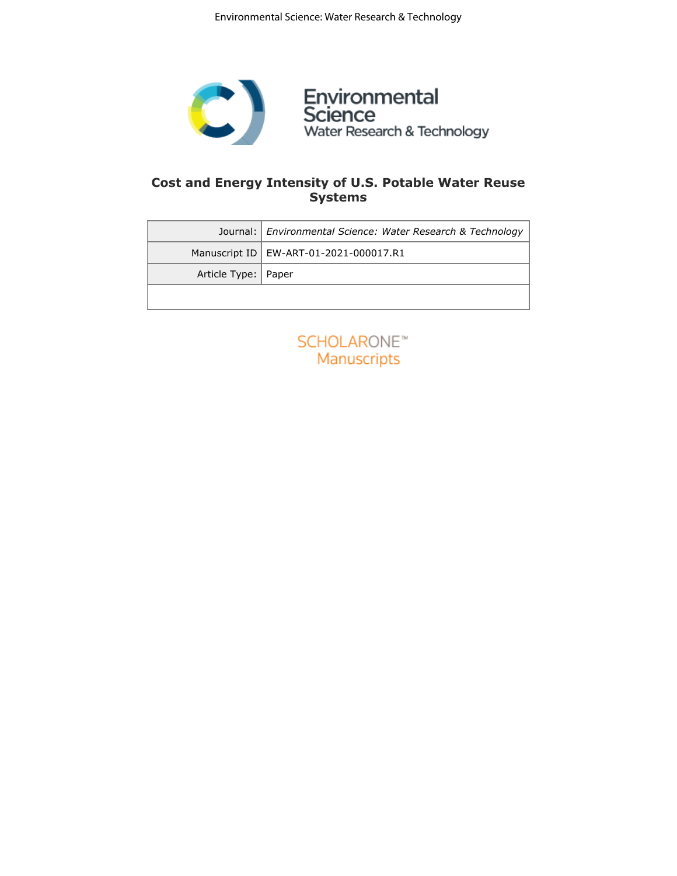

# **Cost and Energy Intensity of U.S. Potable Water Reuse Systems**

|                       | Journal:   Environmental Science: Water Research & Technology |
|-----------------------|---------------------------------------------------------------|
|                       | Manuscript ID   EW-ART-01-2021-000017.R1                      |
| Article Type:   Paper |                                                               |
|                       |                                                               |

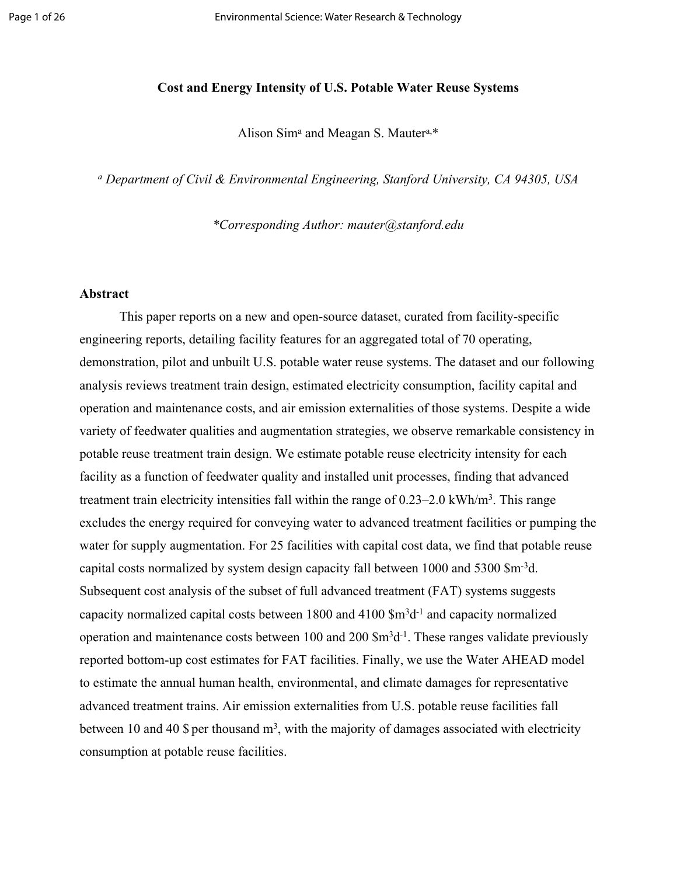# **Cost and Energy Intensity of U.S. Potable Water Reuse Systems**

Alison Sim<sup>a</sup> and Meagan S. Mauter<sup>a,\*</sup>

*a Department of Civil & Environmental Engineering, Stanford University, CA 94305, USA*

*\*Corresponding Author: mauter@stanford.edu*

## **Abstract**

This paper reports on a new and open-source dataset, curated from facility-specific engineering reports, detailing facility features for an aggregated total of 70 operating, demonstration, pilot and unbuilt U.S. potable water reuse systems. The dataset and our following analysis reviews treatment train design, estimated electricity consumption, facility capital and operation and maintenance costs, and air emission externalities of those systems. Despite a wide variety of feedwater qualities and augmentation strategies, we observe remarkable consistency in potable reuse treatment train design. We estimate potable reuse electricity intensity for each facility as a function of feedwater quality and installed unit processes, finding that advanced treatment train electricity intensities fall within the range of 0.23–2.0 kWh/m<sup>3</sup>. This range excludes the energy required for conveying water to advanced treatment facilities or pumping the water for supply augmentation. For 25 facilities with capital cost data, we find that potable reuse capital costs normalized by system design capacity fall between 1000 and 5300 \$m-3d. Subsequent cost analysis of the subset of full advanced treatment (FAT) systems suggests capacity normalized capital costs between 1800 and 4100 \$m<sup>3</sup>d<sup>-1</sup> and capacity normalized operation and maintenance costs between 100 and 200  $\rm{Sm^3d^{-1}}$ . These ranges validate previously reported bottom-up cost estimates for FAT facilities. Finally, we use the Water AHEAD model to estimate the annual human health, environmental, and climate damages for representative advanced treatment trains. Air emission externalities from U.S. potable reuse facilities fall between 10 and 40 \$ per thousand  $m<sup>3</sup>$ , with the majority of damages associated with electricity consumption at potable reuse facilities.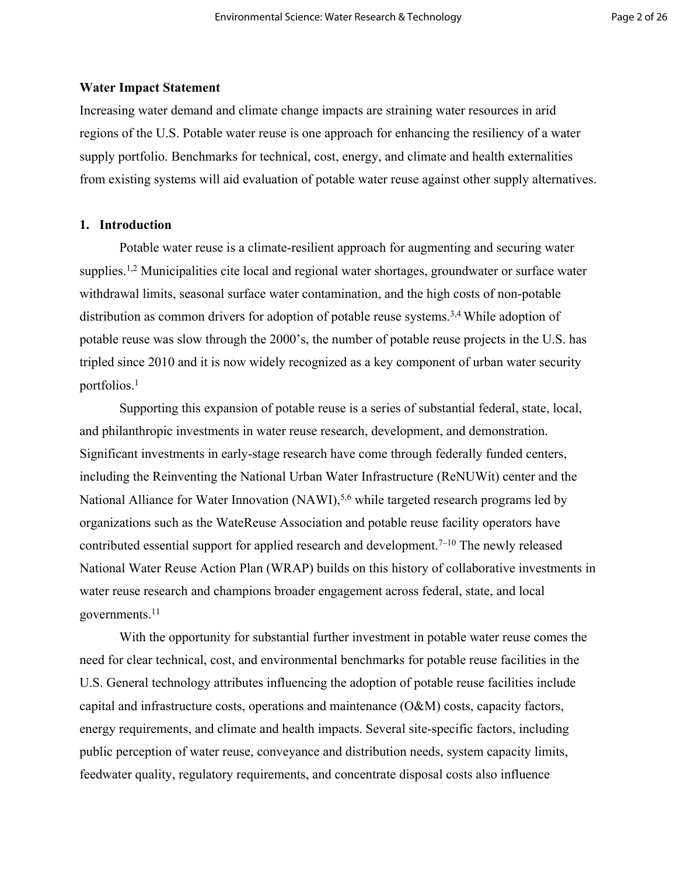## **Water Impact Statement**

Increasing water demand and climate change impacts are straining water resources in arid regions of the U.S. Potable water reuse is one approach for enhancing the resiliency of a water supply portfolio. Benchmarks for technical, cost, energy, and climate and health externalities from existing systems will aid evaluation of potable water reuse against other supply alternatives.

# **1. Introduction**

Potable water reuse is a climate-resilient approach for augmenting and securing water supplies.<sup>1,2</sup> Municipalities cite local and regional water shortages, groundwater or surface water withdrawal limits, seasonal surface water contamination, and the high costs of non-potable distribution as common drivers for adoption of potable reuse systems.<sup>3,4</sup> While adoption of potable reuse was slow through the 2000's, the number of potable reuse projects in the U.S. has tripled since 2010 and it is now widely recognized as a key component of urban water security portfolios.<sup>1</sup>

Supporting this expansion of potable reuse is a series of substantial federal, state, local, and philanthropic investments in water reuse research, development, and demonstration. Significant investments in early-stage research have come through federally funded centers, including the Reinventing the National Urban Water Infrastructure (ReNUWit) center and the National Alliance for Water Innovation (NAWI),<sup>5,6</sup> while targeted research programs led by organizations such as the WateReuse Association and potable reuse facility operators have contributed essential support for applied research and development.<sup>7–10</sup> The newly released National Water Reuse Action Plan (WRAP) builds on this history of collaborative investments in water reuse research and champions broader engagement across federal, state, and local governments.<sup>11</sup>

With the opportunity for substantial further investment in potable water reuse comes the need for clear technical, cost, and environmental benchmarks for potable reuse facilities in the U.S. General technology attributes influencing the adoption of potable reuse facilities include capital and infrastructure costs, operations and maintenance (O&M) costs, capacity factors, energy requirements, and climate and health impacts. Several site-specific factors, including public perception of water reuse, conveyance and distribution needs, system capacity limits, feedwater quality, regulatory requirements, and concentrate disposal costs also influence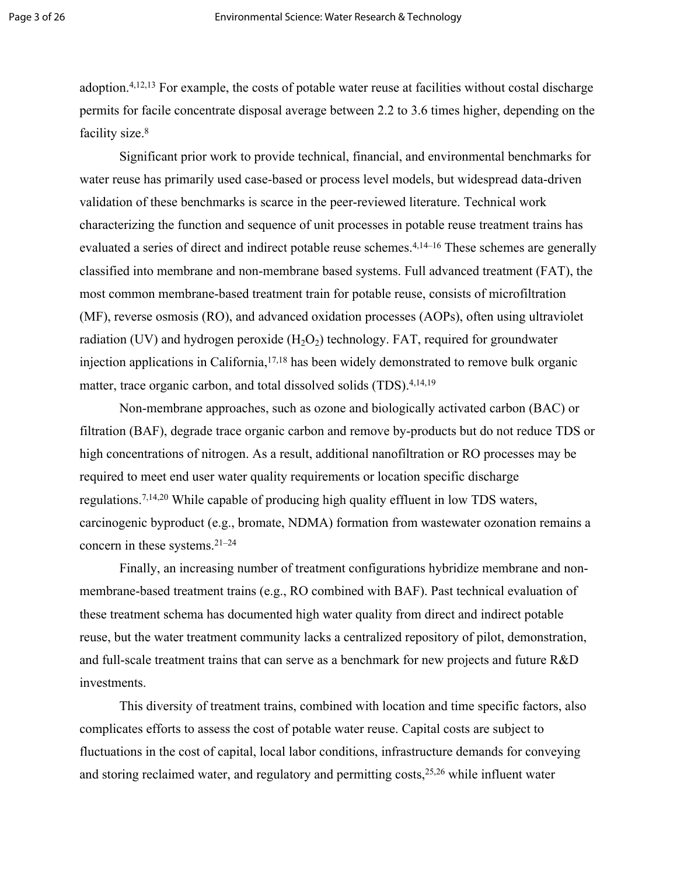adoption.4,12,13 For example, the costs of potable water reuse at facilities without costal discharge permits for facile concentrate disposal average between 2.2 to 3.6 times higher, depending on the facility size.<sup>8</sup>

Significant prior work to provide technical, financial, and environmental benchmarks for water reuse has primarily used case-based or process level models, but widespread data-driven validation of these benchmarks is scarce in the peer-reviewed literature. Technical work characterizing the function and sequence of unit processes in potable reuse treatment trains has evaluated a series of direct and indirect potable reuse schemes.4,14–16 These schemes are generally classified into membrane and non-membrane based systems. Full advanced treatment (FAT), the most common membrane-based treatment train for potable reuse, consists of microfiltration (MF), reverse osmosis (RO), and advanced oxidation processes (AOPs), often using ultraviolet radiation (UV) and hydrogen peroxide  $(H_2O_2)$  technology. FAT, required for groundwater injection applications in California,<sup>17,18</sup> has been widely demonstrated to remove bulk organic matter, trace organic carbon, and total dissolved solids (TDS).<sup>4,14,19</sup>

Non-membrane approaches, such as ozone and biologically activated carbon (BAC) or filtration (BAF), degrade trace organic carbon and remove by-products but do not reduce TDS or high concentrations of nitrogen. As a result, additional nanofiltration or RO processes may be required to meet end user water quality requirements or location specific discharge regulations.7,14,20 While capable of producing high quality effluent in low TDS waters, carcinogenic byproduct (e.g., bromate, NDMA) formation from wastewater ozonation remains a concern in these systems.21–24

Finally, an increasing number of treatment configurations hybridize membrane and nonmembrane-based treatment trains (e.g., RO combined with BAF). Past technical evaluation of these treatment schema has documented high water quality from direct and indirect potable reuse, but the water treatment community lacks a centralized repository of pilot, demonstration, and full-scale treatment trains that can serve as a benchmark for new projects and future R&D investments.

This diversity of treatment trains, combined with location and time specific factors, also complicates efforts to assess the cost of potable water reuse. Capital costs are subject to fluctuations in the cost of capital, local labor conditions, infrastructure demands for conveying and storing reclaimed water, and regulatory and permitting costs,25,26 while influent water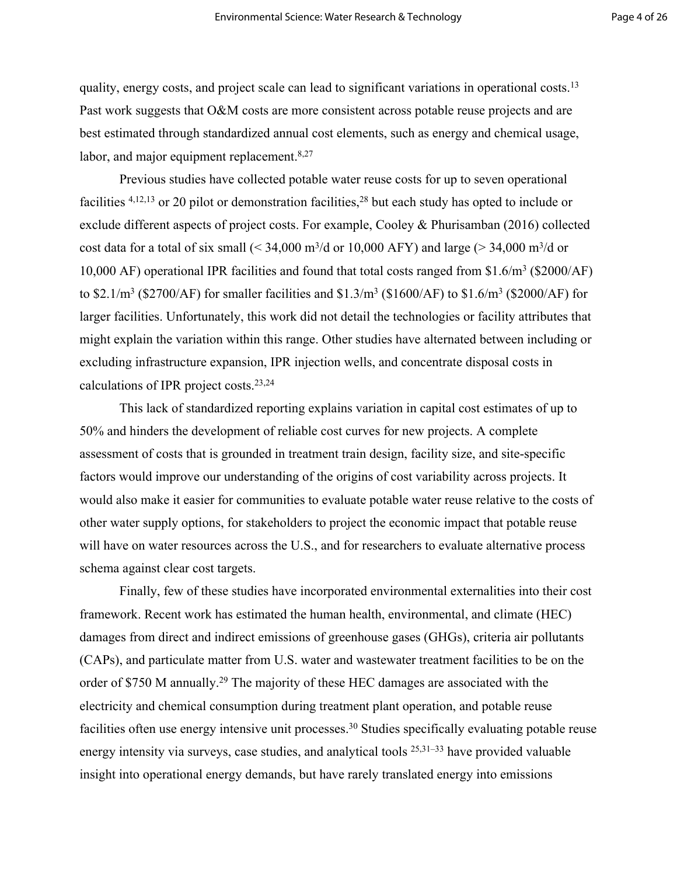quality, energy costs, and project scale can lead to significant variations in operational costs.<sup>13</sup> Past work suggests that O&M costs are more consistent across potable reuse projects and are best estimated through standardized annual cost elements, such as energy and chemical usage, labor, and major equipment replacement.<sup>8,27</sup>

Previous studies have collected potable water reuse costs for up to seven operational facilities  $4,12,13$  or 20 pilot or demonstration facilities,  $28$  but each study has opted to include or exclude different aspects of project costs. For example, Cooley & Phurisamban (2016) collected cost data for a total of six small  $( $34,000 \text{ m}^3/\text{d}$  or 10,000 AFY) and large  $(>34,000 \text{ m}^3/\text{d}$  or$ 10,000 AF) operational IPR facilities and found that total costs ranged from \$1.6/m<sup>3</sup> (\$2000/AF) to \$2.1/m<sup>3</sup> (\$2700/AF) for smaller facilities and \$1.3/m<sup>3</sup> (\$1600/AF) to \$1.6/m<sup>3</sup> (\$2000/AF) for larger facilities. Unfortunately, this work did not detail the technologies or facility attributes that might explain the variation within this range. Other studies have alternated between including or excluding infrastructure expansion, IPR injection wells, and concentrate disposal costs in calculations of IPR project costs.23,24

This lack of standardized reporting explains variation in capital cost estimates of up to 50% and hinders the development of reliable cost curves for new projects. A complete assessment of costs that is grounded in treatment train design, facility size, and site-specific factors would improve our understanding of the origins of cost variability across projects. It would also make it easier for communities to evaluate potable water reuse relative to the costs of other water supply options, for stakeholders to project the economic impact that potable reuse will have on water resources across the U.S., and for researchers to evaluate alternative process schema against clear cost targets.

Finally, few of these studies have incorporated environmental externalities into their cost framework. Recent work has estimated the human health, environmental, and climate (HEC) damages from direct and indirect emissions of greenhouse gases (GHGs), criteria air pollutants (CAPs), and particulate matter from U.S. water and wastewater treatment facilities to be on the order of \$750 M annually.<sup>29</sup> The majority of these HEC damages are associated with the electricity and chemical consumption during treatment plant operation, and potable reuse facilities often use energy intensive unit processes.<sup>30</sup> Studies specifically evaluating potable reuse energy intensity via surveys, case studies, and analytical tools 25,31–33 have provided valuable insight into operational energy demands, but have rarely translated energy into emissions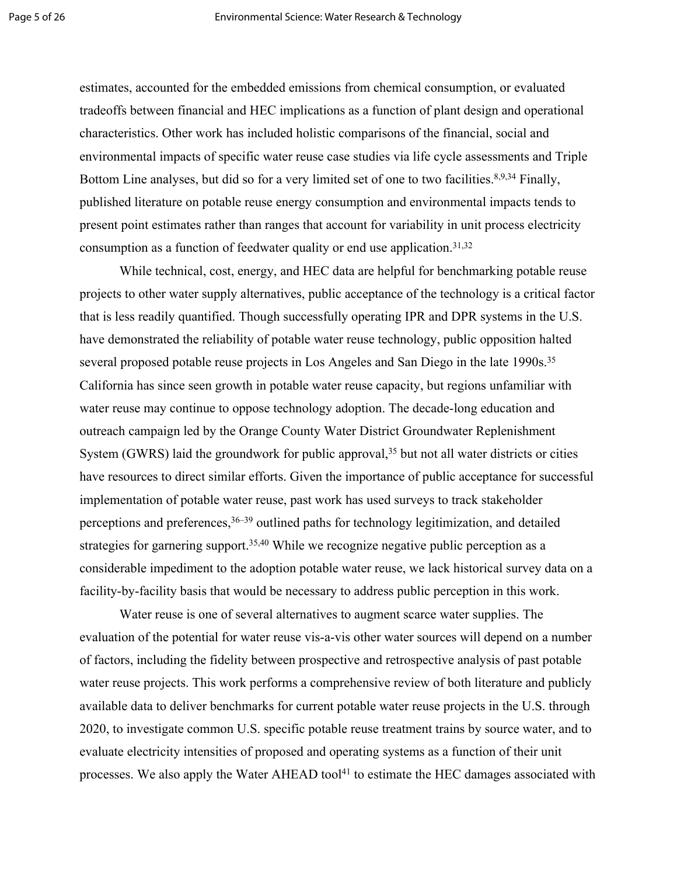estimates, accounted for the embedded emissions from chemical consumption, or evaluated tradeoffs between financial and HEC implications as a function of plant design and operational characteristics. Other work has included holistic comparisons of the financial, social and environmental impacts of specific water reuse case studies via life cycle assessments and Triple Bottom Line analyses, but did so for a very limited set of one to two facilities.<sup>8,9,34</sup> Finally, published literature on potable reuse energy consumption and environmental impacts tends to present point estimates rather than ranges that account for variability in unit process electricity consumption as a function of feedwater quality or end use application.<sup>31,32</sup>

While technical, cost, energy, and HEC data are helpful for benchmarking potable reuse projects to other water supply alternatives, public acceptance of the technology is a critical factor that is less readily quantified. Though successfully operating IPR and DPR systems in the U.S. have demonstrated the reliability of potable water reuse technology, public opposition halted several proposed potable reuse projects in Los Angeles and San Diego in the late 1990s.<sup>35</sup> California has since seen growth in potable water reuse capacity, but regions unfamiliar with water reuse may continue to oppose technology adoption. The decade-long education and outreach campaign led by the Orange County Water District Groundwater Replenishment System (GWRS) laid the groundwork for public approval,  $35$  but not all water districts or cities have resources to direct similar efforts. Given the importance of public acceptance for successful implementation of potable water reuse, past work has used surveys to track stakeholder perceptions and preferences,  $36-39$  outlined paths for technology legitimization, and detailed strategies for garnering support.<sup>35,40</sup> While we recognize negative public perception as a considerable impediment to the adoption potable water reuse, we lack historical survey data on a facility-by-facility basis that would be necessary to address public perception in this work.

Water reuse is one of several alternatives to augment scarce water supplies. The evaluation of the potential for water reuse vis-a-vis other water sources will depend on a number of factors, including the fidelity between prospective and retrospective analysis of past potable water reuse projects. This work performs a comprehensive review of both literature and publicly available data to deliver benchmarks for current potable water reuse projects in the U.S. through 2020, to investigate common U.S. specific potable reuse treatment trains by source water, and to evaluate electricity intensities of proposed and operating systems as a function of their unit processes. We also apply the Water AHEAD tool<sup>41</sup> to estimate the HEC damages associated with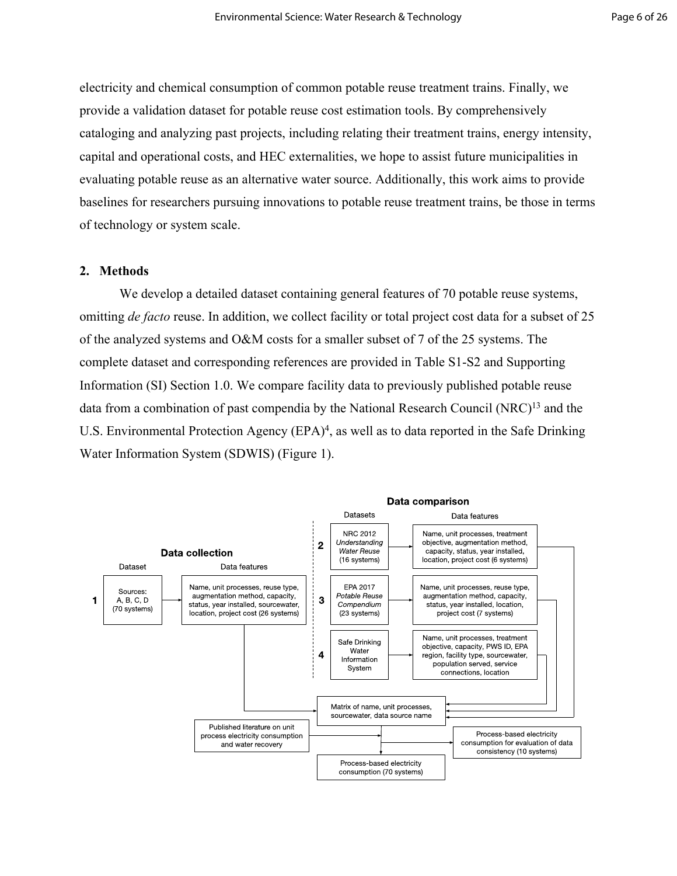electricity and chemical consumption of common potable reuse treatment trains. Finally, we provide a validation dataset for potable reuse cost estimation tools. By comprehensively cataloging and analyzing past projects, including relating their treatment trains, energy intensity, capital and operational costs, and HEC externalities, we hope to assist future municipalities in evaluating potable reuse as an alternative water source. Additionally, this work aims to provide baselines for researchers pursuing innovations to potable reuse treatment trains, be those in terms of technology or system scale.

# **2. Methods**

We develop a detailed dataset containing general features of 70 potable reuse systems, omitting *de facto* reuse. In addition, we collect facility or total project cost data for a subset of 25 of the analyzed systems and O&M costs for a smaller subset of 7 of the 25 systems. The complete dataset and corresponding references are provided in Table S1-S2 and Supporting Information (SI) Section 1.0. We compare facility data to previously published potable reuse data from a combination of past compendia by the National Research Council (NRC)<sup>13</sup> and the U.S. Environmental Protection Agency (EPA)<sup>4</sup>, as well as to data reported in the Safe Drinking Water Information System (SDWIS) (Figure 1).

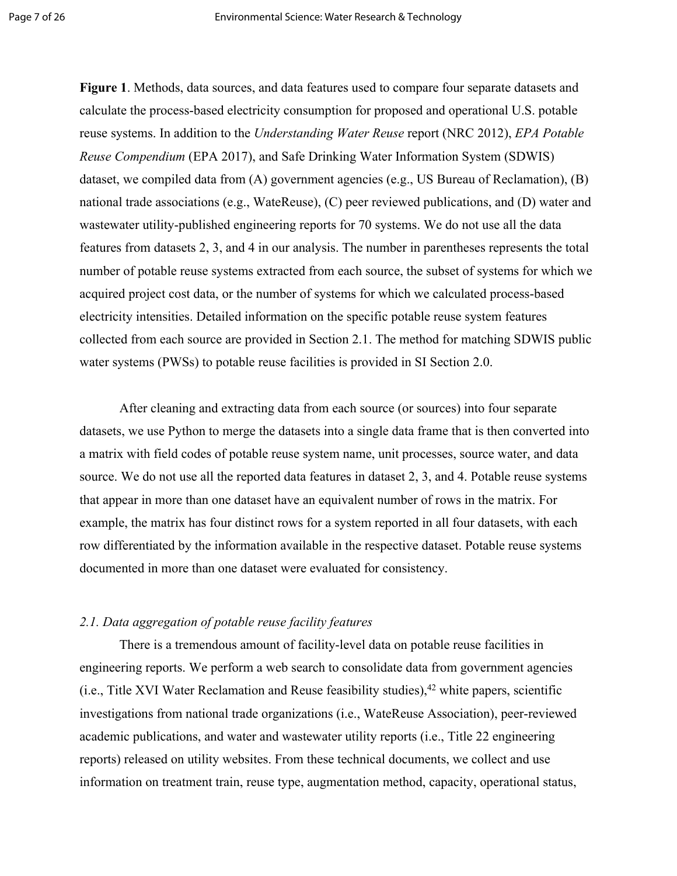**Figure 1**. Methods, data sources, and data features used to compare four separate datasets and calculate the process-based electricity consumption for proposed and operational U.S. potable reuse systems. In addition to the *Understanding Water Reuse* report (NRC 2012), *EPA Potable Reuse Compendium* (EPA 2017), and Safe Drinking Water Information System (SDWIS) dataset, we compiled data from (A) government agencies (e.g., US Bureau of Reclamation), (B) national trade associations (e.g., WateReuse), (C) peer reviewed publications, and (D) water and wastewater utility-published engineering reports for 70 systems. We do not use all the data features from datasets 2, 3, and 4 in our analysis. The number in parentheses represents the total number of potable reuse systems extracted from each source, the subset of systems for which we acquired project cost data, or the number of systems for which we calculated process-based electricity intensities. Detailed information on the specific potable reuse system features collected from each source are provided in Section 2.1. The method for matching SDWIS public water systems (PWSs) to potable reuse facilities is provided in SI Section 2.0.

After cleaning and extracting data from each source (or sources) into four separate datasets, we use Python to merge the datasets into a single data frame that is then converted into a matrix with field codes of potable reuse system name, unit processes, source water, and data source. We do not use all the reported data features in dataset 2, 3, and 4. Potable reuse systems that appear in more than one dataset have an equivalent number of rows in the matrix. For example, the matrix has four distinct rows for a system reported in all four datasets, with each row differentiated by the information available in the respective dataset. Potable reuse systems documented in more than one dataset were evaluated for consistency.

# *2.1. Data aggregation of potable reuse facility features*

There is a tremendous amount of facility-level data on potable reuse facilities in engineering reports. We perform a web search to consolidate data from government agencies (i.e., Title XVI Water Reclamation and Reuse feasibility studies),  $42$  white papers, scientific investigations from national trade organizations (i.e., WateReuse Association), peer-reviewed academic publications, and water and wastewater utility reports (i.e., Title 22 engineering reports) released on utility websites. From these technical documents, we collect and use information on treatment train, reuse type, augmentation method, capacity, operational status,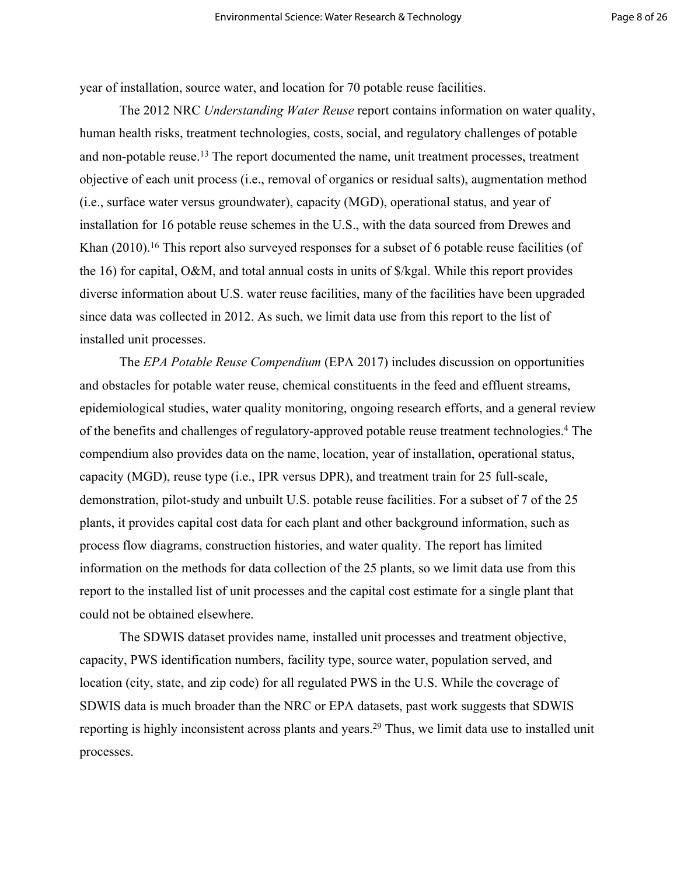year of installation, source water, and location for 70 potable reuse facilities.

The 2012 NRC *Understanding Water Reuse* report contains information on water quality, human health risks, treatment technologies, costs, social, and regulatory challenges of potable and non-potable reuse.<sup>13</sup> The report documented the name, unit treatment processes, treatment objective of each unit process (i.e., removal of organics or residual salts), augmentation method (i.e., surface water versus groundwater), capacity (MGD), operational status, and year of installation for 16 potable reuse schemes in the U.S., with the data sourced from Drewes and Khan (2010).<sup>16</sup> This report also surveyed responses for a subset of 6 potable reuse facilities (of the 16) for capital, O&M, and total annual costs in units of \$/kgal. While this report provides diverse information about U.S. water reuse facilities, many of the facilities have been upgraded since data was collected in 2012. As such, we limit data use from this report to the list of installed unit processes.

The *EPA Potable Reuse Compendium* (EPA 2017) includes discussion on opportunities and obstacles for potable water reuse, chemical constituents in the feed and effluent streams, epidemiological studies, water quality monitoring, ongoing research efforts, and a general review of the benefits and challenges of regulatory-approved potable reuse treatment technologies.<sup>4</sup> The compendium also provides data on the name, location, year of installation, operational status, capacity (MGD), reuse type (i.e., IPR versus DPR), and treatment train for 25 full-scale, demonstration, pilot-study and unbuilt U.S. potable reuse facilities. For a subset of 7 of the 25 plants, it provides capital cost data for each plant and other background information, such as process flow diagrams, construction histories, and water quality. The report has limited information on the methods for data collection of the 25 plants, so we limit data use from this report to the installed list of unit processes and the capital cost estimate for a single plant that could not be obtained elsewhere.

The SDWIS dataset provides name, installed unit processes and treatment objective, capacity, PWS identification numbers, facility type, source water, population served, and location (city, state, and zip code) for all regulated PWS in the U.S. While the coverage of SDWIS data is much broader than the NRC or EPA datasets, past work suggests that SDWIS reporting is highly inconsistent across plants and years.<sup>29</sup> Thus, we limit data use to installed unit processes.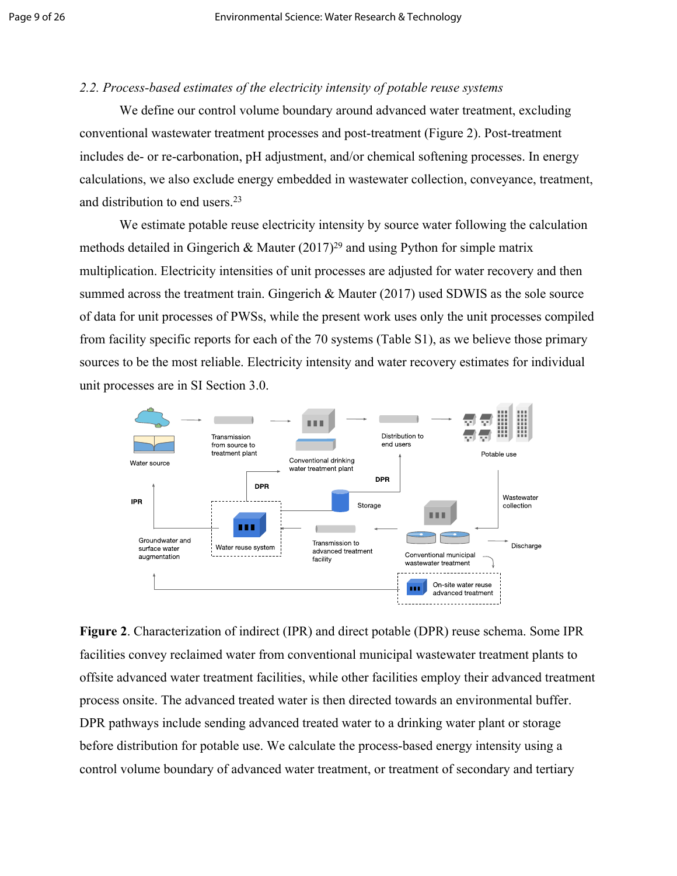# *2.2. Process-based estimates of the electricity intensity of potable reuse systems*

We define our control volume boundary around advanced water treatment, excluding conventional wastewater treatment processes and post-treatment (Figure 2). Post-treatment includes de- or re-carbonation, pH adjustment, and/or chemical softening processes. In energy calculations, we also exclude energy embedded in wastewater collection, conveyance, treatment, and distribution to end users.[23](https://www.zotero.org/google-docs/?BtvNMu)

We estimate potable reuse electricity intensity by source water following the calculation methods detailed in Gingerich & Mauter  $(2017)^{29}$  and using Python for simple matrix multiplication. Electricity intensities of unit processes are adjusted for water recovery and then summed across the treatment train. Gingerich & Mauter (2017) used SDWIS as the sole source of data for unit processes of PWSs, while the present work uses only the unit processes compiled from facility specific reports for each of the 70 systems (Table S1), as we believe those primary sources to be the most reliable. Electricity intensity and water recovery estimates for individual unit processes are in SI Section 3.0.



**Figure 2**. Characterization of indirect (IPR) and direct potable (DPR) reuse schema. Some IPR facilities convey reclaimed water from conventional municipal wastewater treatment plants to offsite advanced water treatment facilities, while other facilities employ their advanced treatment process onsite. The advanced treated water is then directed towards an environmental buffer. DPR pathways include sending advanced treated water to a drinking water plant or storage before distribution for potable use. We calculate the process-based energy intensity using a control volume boundary of advanced water treatment, or treatment of secondary and tertiary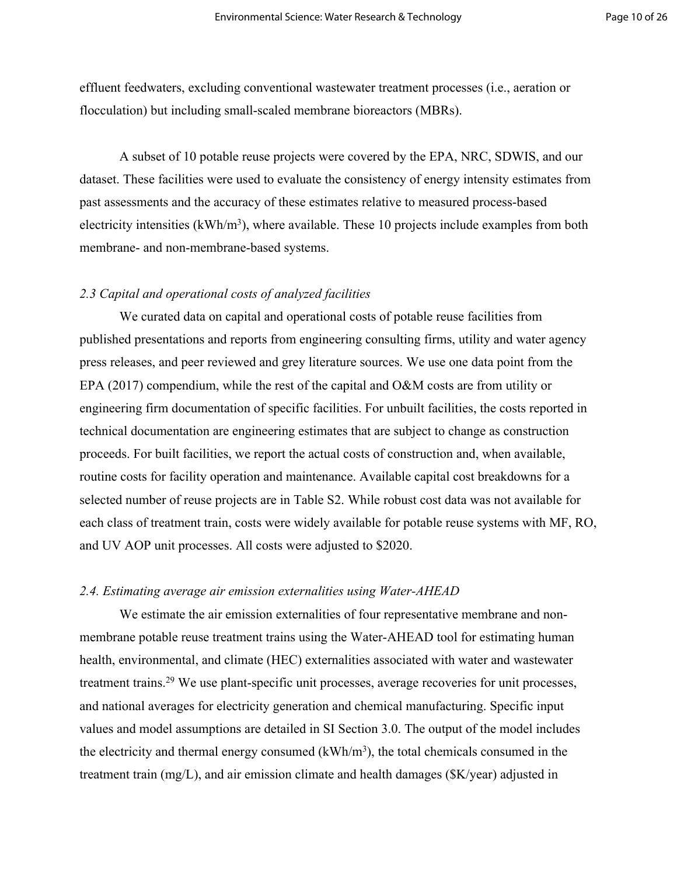effluent feedwaters, excluding conventional wastewater treatment processes (i.e., aeration or flocculation) but including small-scaled membrane bioreactors (MBRs).

A subset of 10 potable reuse projects were covered by the EPA, NRC, SDWIS, and our dataset. These facilities were used to evaluate the consistency of energy intensity estimates from past assessments and the accuracy of these estimates relative to measured process-based electricity intensities  $(kWh/m<sup>3</sup>)$ , where available. These 10 projects include examples from both membrane- and non-membrane-based systems.

#### *2.3 Capital and operational costs of analyzed facilities*

We curated data on capital and operational costs of potable reuse facilities from published presentations and reports from engineering consulting firms, utility and water agency press releases, and peer reviewed and grey literature sources. We use one data point from the EPA (2017) compendium, while the rest of the capital and O&M costs are from utility or engineering firm documentation of specific facilities. For unbuilt facilities, the costs reported in technical documentation are engineering estimates that are subject to change as construction proceeds. For built facilities, we report the actual costs of construction and, when available, routine costs for facility operation and maintenance. Available capital cost breakdowns for a selected number of reuse projects are in Table S2. While robust cost data was not available for each class of treatment train, costs were widely available for potable reuse systems with MF, RO, and UV AOP unit processes. All costs were adjusted to \$2020.

#### *2.4. Estimating average air emission externalities using Water-AHEAD*

We estimate the air emission externalities of four representative membrane and nonmembrane potable reuse treatment trains using the Water-AHEAD tool for estimating human health, environmental, and climate (HEC) externalities associated with water and wastewater treatment trains.<sup>29</sup> We use plant-specific unit processes, average recoveries for unit processes, and national averages for electricity generation and chemical manufacturing. Specific input values and model assumptions are detailed in SI Section 3.0. The output of the model includes the electricity and thermal energy consumed  $(kWh/m<sup>3</sup>)$ , the total chemicals consumed in the treatment train (mg/L), and air emission climate and health damages (\$K/year) adjusted in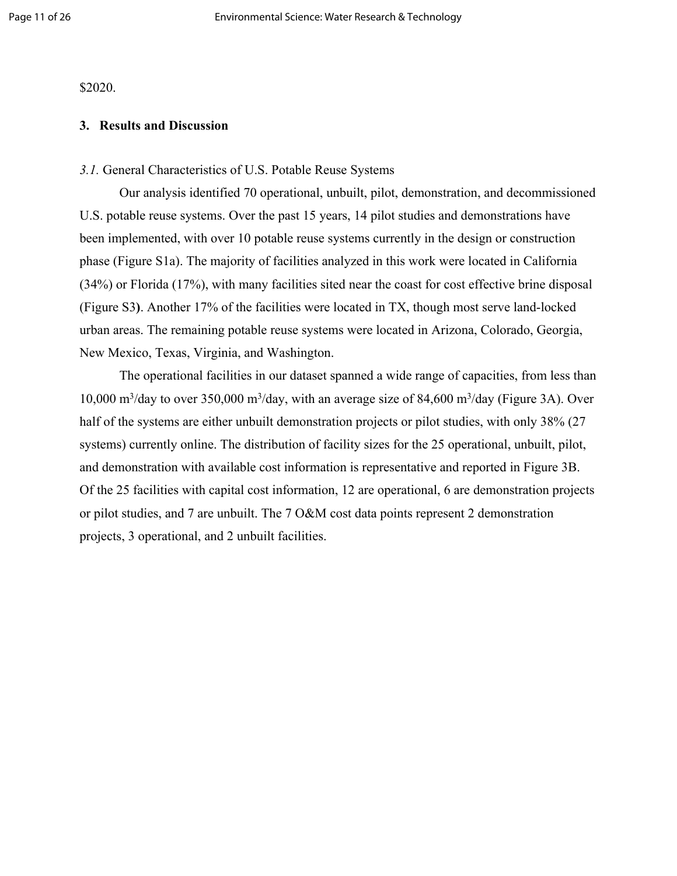\$2020.

#### **3. Results and Discussion**

#### *3.1.* General Characteristics of U.S. Potable Reuse Systems

Our analysis identified 70 operational, unbuilt, pilot, demonstration, and decommissioned U.S. potable reuse systems. Over the past 15 years, 14 pilot studies and demonstrations have been implemented, with over 10 potable reuse systems currently in the design or construction phase (Figure S1a). The majority of facilities analyzed in this work were located in California (34%) or Florida (17%), with many facilities sited near the coast for cost effective brine disposal (Figure S3**)**. Another 17% of the facilities were located in TX, though most serve land-locked urban areas. The remaining potable reuse systems were located in Arizona, Colorado, Georgia, New Mexico, Texas, Virginia, and Washington.

The operational facilities in our dataset spanned a wide range of capacities, from less than 10,000 m<sup>3</sup>/day to over 350,000 m<sup>3</sup>/day, with an average size of 84,600 m<sup>3</sup>/day (Figure 3A). Over half of the systems are either unbuilt demonstration projects or pilot studies, with only 38% (27) systems) currently online. The distribution of facility sizes for the 25 operational, unbuilt, pilot, and demonstration with available cost information is representative and reported in Figure 3B. Of the 25 facilities with capital cost information, 12 are operational, 6 are demonstration projects or pilot studies, and 7 are unbuilt. The 7 O&M cost data points represent 2 demonstration projects, 3 operational, and 2 unbuilt facilities.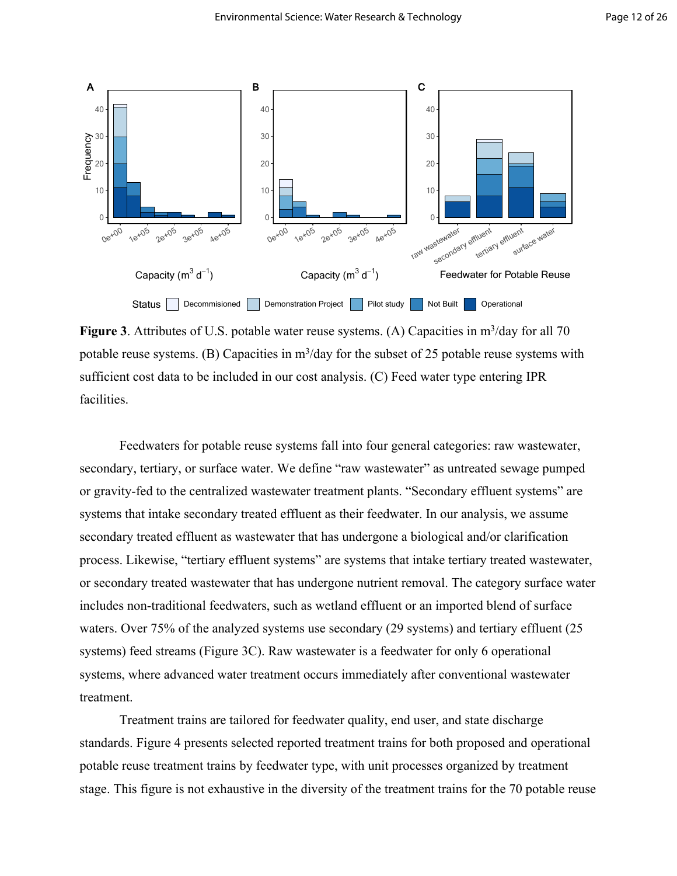

Figure 3. Attributes of U.S. potable water reuse systems. (A) Capacities in m<sup>3</sup>/day for all 70 potable reuse systems. (B) Capacities in  $m^3$ /day for the subset of 25 potable reuse systems with sufficient cost data to be included in our cost analysis. (C) Feed water type entering IPR facilities.

Feedwaters for potable reuse systems fall into four general categories: raw wastewater, secondary, tertiary, or surface water. We define "raw wastewater" as untreated sewage pumped or gravity-fed to the centralized wastewater treatment plants. "Secondary effluent systems" are systems that intake secondary treated effluent as their feedwater. In our analysis, we assume secondary treated effluent as wastewater that has undergone a biological and/or clarification process. Likewise, "tertiary effluent systems" are systems that intake tertiary treated wastewater, or secondary treated wastewater that has undergone nutrient removal. The category surface water includes non-traditional feedwaters, such as wetland effluent or an imported blend of surface waters. Over 75% of the analyzed systems use secondary (29 systems) and tertiary effluent (25 systems) feed streams (Figure 3C). Raw wastewater is a feedwater for only 6 operational systems, where advanced water treatment occurs immediately after conventional wastewater treatment.

Treatment trains are tailored for feedwater quality, end user, and state discharge standards. Figure 4 presents selected reported treatment trains for both proposed and operational potable reuse treatment trains by feedwater type, with unit processes organized by treatment stage. This figure is not exhaustive in the diversity of the treatment trains for the 70 potable reuse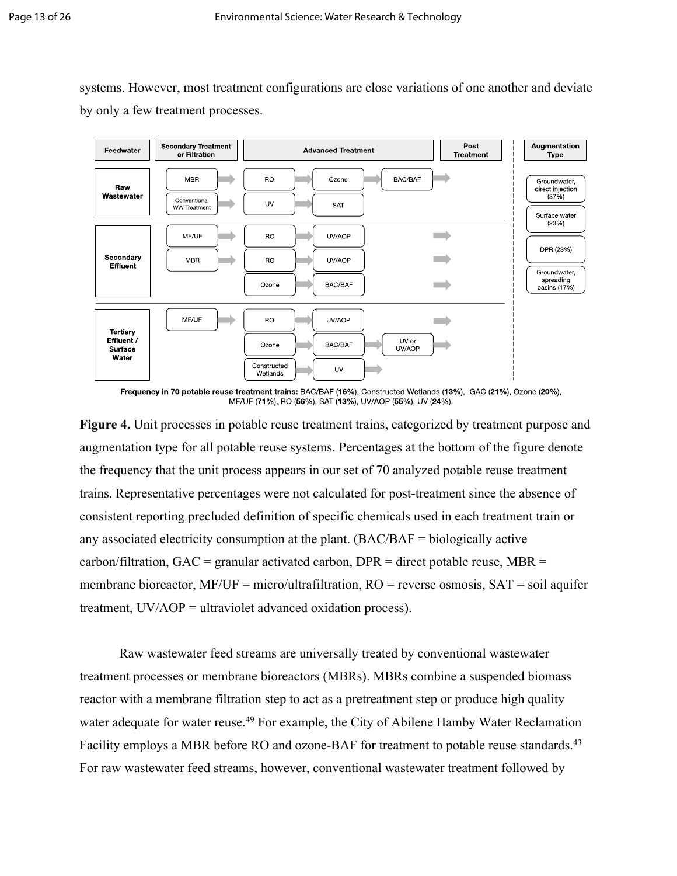systems. However, most treatment configurations are close variations of one another and deviate by only a few treatment processes.



Frequency in 70 potable reuse treatment trains: BAC/BAF (16%), Constructed Wetlands (13%), GAC (21%), Ozone (20%), MF/UF (71%), RO (56%), SAT (13%), UV/AOP (55%), UV (24%).

**Figure 4.** Unit processes in potable reuse treatment trains, categorized by treatment purpose and augmentation type for all potable reuse systems. Percentages at the bottom of the figure denote the frequency that the unit process appears in our set of 70 analyzed potable reuse treatment trains. Representative percentages were not calculated for post-treatment since the absence of consistent reporting precluded definition of specific chemicals used in each treatment train or any associated electricity consumption at the plant. (BAC/BAF = biologically active carbon/filtration,  $GAC =$  granular activated carbon,  $DPR =$  direct potable reuse,  $MBR =$ membrane bioreactor,  $MF/UF = micro/ultra filtration$ ,  $RO = reverse$  osmosis,  $SAT = soil$  aquifer treatment, UV/AOP = ultraviolet advanced oxidation process).

Raw wastewater feed streams are universally treated by conventional wastewater treatment processes or membrane bioreactors (MBRs). MBRs combine a suspended biomass reactor with a membrane filtration step to act as a pretreatment step or produce high quality water adequate for water reuse.<sup>[49](https://www.zotero.org/google-docs/?KjMpjC)</sup> For example, the City of Abilene Hamby Water Reclamation Facility employs a MBR before RO and ozone-BAF for treatment to potable reuse standards.<sup>43</sup> For raw wastewater feed streams, however, conventional wastewater treatment followed by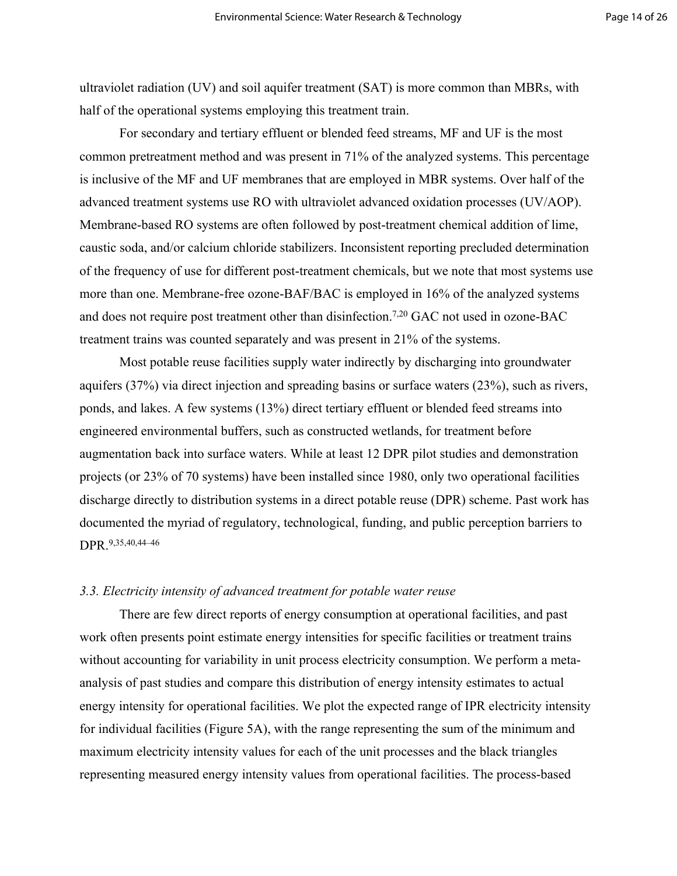ultraviolet radiation (UV) and soil aquifer treatment (SAT) is more common than MBRs, with half of the operational systems employing this treatment train.

For secondary and tertiary effluent or blended feed streams, MF and UF is the most common pretreatment method and was present in 71% of the analyzed systems. This percentage is inclusive of the MF and UF membranes that are employed in MBR systems. Over half of the advanced treatment systems use RO with ultraviolet advanced oxidation processes (UV/AOP). Membrane-based RO systems are often followed by post-treatment chemical addition of lime, caustic soda, and/or calcium chloride stabilizers. Inconsistent reporting precluded determination of the frequency of use for different post-treatment chemicals, but we note that most systems use more than one. Membrane-free ozone-BAF/BAC is employed in 16% of the analyzed systems and does not require post treatment other than disinfection.7,20 GAC not used in ozone-BAC treatment trains was counted separately and was present in 21% of the systems.

Most potable reuse facilities supply water indirectly by discharging into groundwater aquifers (37%) via direct injection and spreading basins or surface waters (23%), such as rivers, ponds, and lakes. A few systems (13%) direct tertiary effluent or blended feed streams into engineered environmental buffers, such as constructed wetlands, for treatment before augmentation back into surface waters. While at least 12 DPR pilot studies and demonstration projects (or 23% of 70 systems) have been installed since 1980, only two operational facilities discharge directly to distribution systems in a direct potable reuse (DPR) scheme. Past work has documented the myriad of regulatory, technological, funding, and public perception barriers to DPR.9,35,40,44–46

#### *3.3. Electricity intensity of advanced treatment for potable water reuse*

There are few direct reports of energy consumption at operational facilities, and past work often presents point estimate energy intensities for specific facilities or treatment trains without accounting for variability in unit process electricity consumption. We perform a metaanalysis of past studies and compare this distribution of energy intensity estimates to actual energy intensity for operational facilities. We plot the expected range of IPR electricity intensity for individual facilities (Figure 5A), with the range representing the sum of the minimum and maximum electricity intensity values for each of the unit processes and the black triangles representing measured energy intensity values from operational facilities. The process-based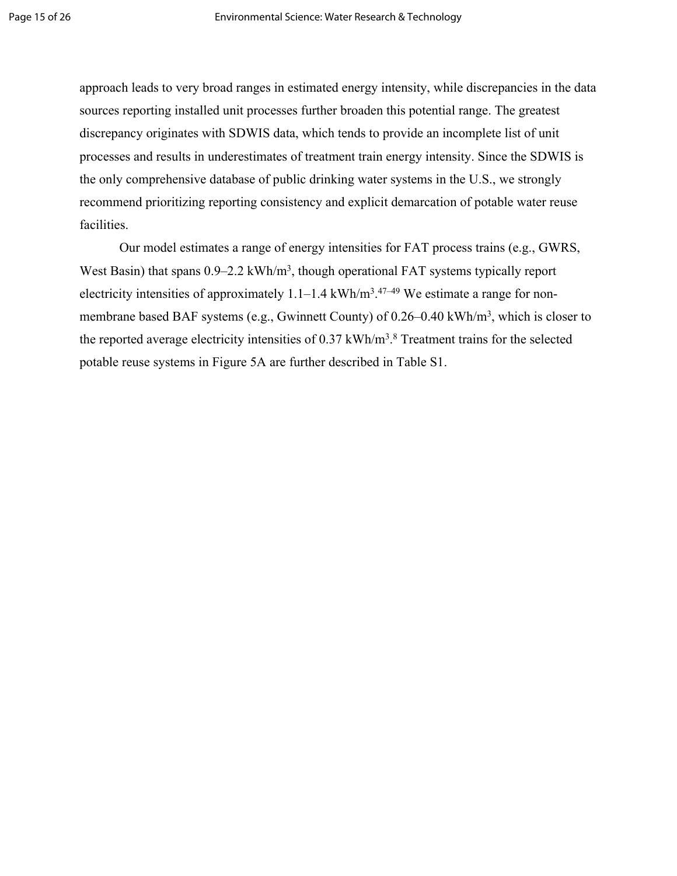approach leads to very broad ranges in estimated energy intensity, while discrepancies in the data sources reporting installed unit processes further broaden this potential range. The greatest discrepancy originates with SDWIS data, which tends to provide an incomplete list of unit processes and results in underestimates of treatment train energy intensity. Since the SDWIS is the only comprehensive database of public drinking water systems in the U.S., we strongly recommend prioritizing reporting consistency and explicit demarcation of potable water reuse facilities.

Our model estimates a range of energy intensities for FAT process trains (e.g., GWRS, West Basin) that spans 0.9–2.2 kWh/m<sup>3</sup>, though operational FAT systems typically report electricity intensities of approximately  $1.1-1.4 \text{ kWh/m}^3$ .  $47-49 \text{ We estimate a range for non-}$ membrane based BAF systems (e.g., Gwinnett County) of 0.26–0.40 kWh/m<sup>3</sup>, which is closer to the reported average electricity intensities of  $0.37 \text{ kWh/m}^3$ .<sup>8</sup> Treatment trains for the selected potable reuse systems in Figure 5A are further described in Table S1.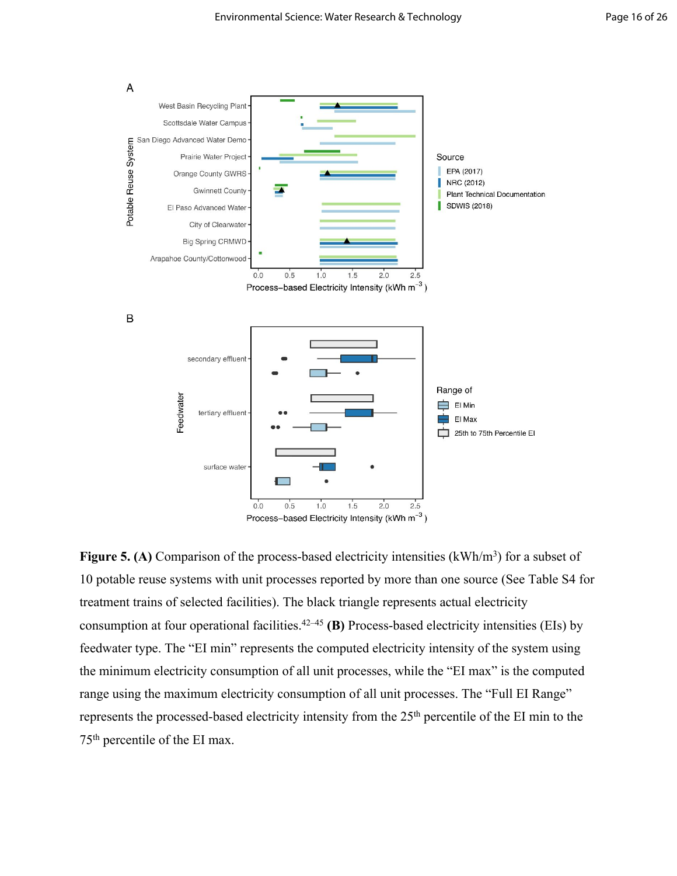

Figure 5. (A) Comparison of the process-based electricity intensities (kWh/m<sup>3</sup>) for a subset of 10 potable reuse systems with unit processes reported by more than one source (See Table S4 for treatment trains of selected facilities). The black triangle represents actual electricity consumption at four operational facilities.[42–45](https://www.zotero.org/google-docs/?Sh9wmH) **(B)** Process-based electricity intensities (EIs) by feedwater type. The "EI min" represents the computed electricity intensity of the system using the minimum electricity consumption of all unit processes, while the "EI max" is the computed range using the maximum electricity consumption of all unit processes. The "Full EI Range" represents the processed-based electricity intensity from the 25th percentile of the EI min to the 75th percentile of the EI max.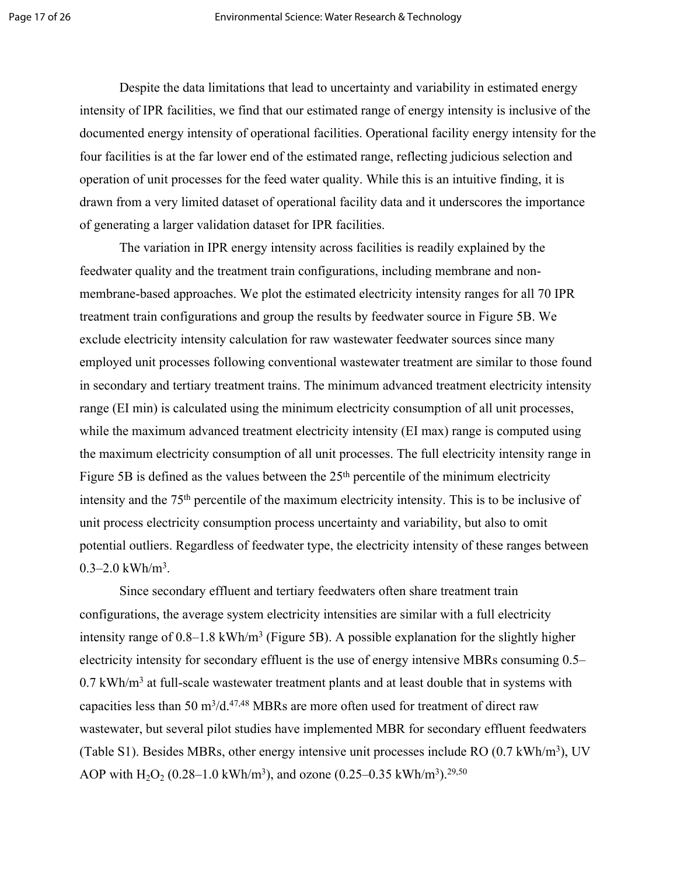Despite the data limitations that lead to uncertainty and variability in estimated energy intensity of IPR facilities, we find that our estimated range of energy intensity is inclusive of the documented energy intensity of operational facilities. Operational facility energy intensity for the four facilities is at the far lower end of the estimated range, reflecting judicious selection and operation of unit processes for the feed water quality. While this is an intuitive finding, it is drawn from a very limited dataset of operational facility data and it underscores the importance of generating a larger validation dataset for IPR facilities.

The variation in IPR energy intensity across facilities is readily explained by the feedwater quality and the treatment train configurations, including membrane and nonmembrane-based approaches. We plot the estimated electricity intensity ranges for all 70 IPR treatment train configurations and group the results by feedwater source in Figure 5B. We exclude electricity intensity calculation for raw wastewater feedwater sources since many employed unit processes following conventional wastewater treatment are similar to those found in secondary and tertiary treatment trains. The minimum advanced treatment electricity intensity range (EI min) is calculated using the minimum electricity consumption of all unit processes, while the maximum advanced treatment electricity intensity (EI max) range is computed using the maximum electricity consumption of all unit processes. The full electricity intensity range in Figure 5B is defined as the values between the  $25<sup>th</sup>$  percentile of the minimum electricity intensity and the 75th percentile of the maximum electricity intensity. This is to be inclusive of unit process electricity consumption process uncertainty and variability, but also to omit potential outliers. Regardless of feedwater type, the electricity intensity of these ranges between  $0.3 - 2.0$  kWh/m<sup>3</sup>.

Since secondary effluent and tertiary feedwaters often share treatment train configurations, the average system electricity intensities are similar with a full electricity intensity range of  $0.8-1.8$  kWh/m<sup>3</sup> (Figure 5B). A possible explanation for the slightly higher electricity intensity for secondary effluent is the use of energy intensive MBRs consuming 0.5–  $0.7$  kWh/m<sup>3</sup> at full-scale wastewater treatment plants and at least double that in systems with capacities less than 50 m<sup>3</sup>/d.<sup>[47,48](https://www.zotero.org/google-docs/?crAtjr)</sup> MBRs are more often used for treatment of direct raw wastewater, but several pilot studies have implemented MBR for secondary effluent feedwaters (Table S1). Besides MBRs, other energy intensive unit processes include RO (0.7 kWh/m<sup>3</sup>), UV AOP with  $H_2O_2$  (0.28–1.0 kWh/m<sup>3</sup>), and ozone (0.25–0.35 kWh/m<sup>3</sup>).<sup>29,50</sup>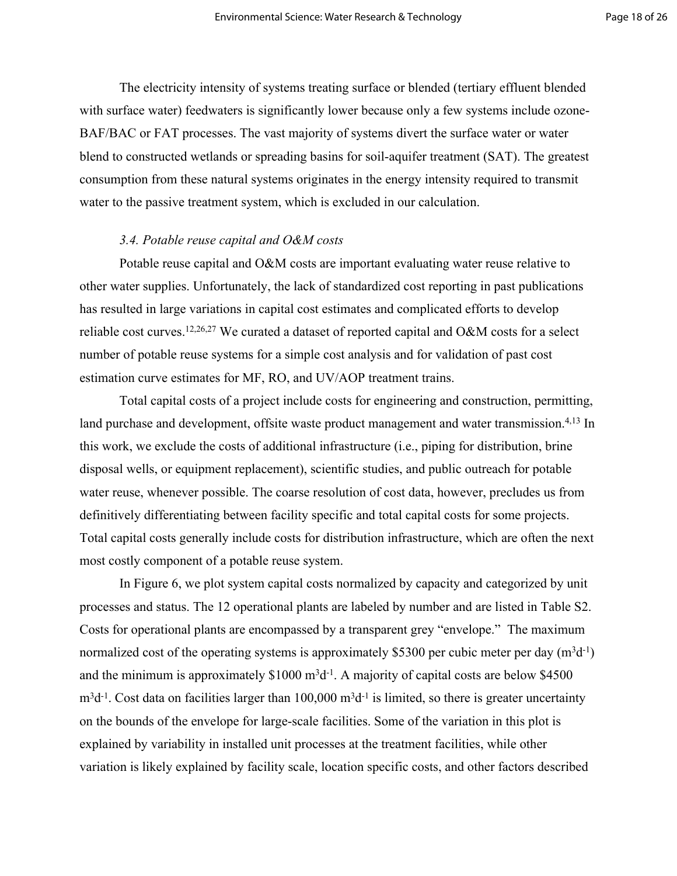The electricity intensity of systems treating surface or blended (tertiary effluent blended with surface water) feedwaters is significantly lower because only a few systems include ozone-BAF/BAC or FAT processes. The vast majority of systems divert the surface water or water blend to constructed wetlands or spreading basins for soil-aquifer treatment (SAT). The greatest consumption from these natural systems originates in the energy intensity required to transmit water to the passive treatment system, which is excluded in our calculation.

# *3.4. Potable reuse capital and O&M costs*

Potable reuse capital and O&M costs are important evaluating water reuse relative to other water supplies. Unfortunately, the lack of standardized cost reporting in past publications has resulted in large variations in capital cost estimates and complicated efforts to develop reliable cost curves.12,26,27 We curated a dataset of reported capital and O&M costs for a select number of potable reuse systems for a simple cost analysis and for validation of past cost estimation curve estimates for MF, RO, and UV/AOP treatment trains.

Total capital costs of a project include costs for engineering and construction, permitting, land purchase and development, offsite waste product management and water transmission.<sup>4,13</sup> In this work, we exclude the costs of additional infrastructure (i.e., piping for distribution, brine disposal wells, or equipment replacement), scientific studies, and public outreach for potable water reuse, whenever possible. The coarse resolution of cost data, however, precludes us from definitively differentiating between facility specific and total capital costs for some projects. Total capital costs generally include costs for distribution infrastructure, which are often the next most costly component of a potable reuse system.

In Figure 6, we plot system capital costs normalized by capacity and categorized by unit processes and status. The 12 operational plants are labeled by number and are listed in Table S2. Costs for operational plants are encompassed by a transparent grey "envelope." The maximum normalized cost of the operating systems is approximately \$5300 per cubic meter per day  $(m^3d^1)$ and the minimum is approximately  $$1000 \text{ m}^3$ d<sup>-1</sup>. A majority of capital costs are below \$4500  $m<sup>3</sup>d<sup>-1</sup>$ . Cost data on facilities larger than 100,000  $m<sup>3</sup>d<sup>-1</sup>$  is limited, so there is greater uncertainty on the bounds of the envelope for large-scale facilities. Some of the variation in this plot is explained by variability in installed unit processes at the treatment facilities, while other variation is likely explained by facility scale, location specific costs, and other factors described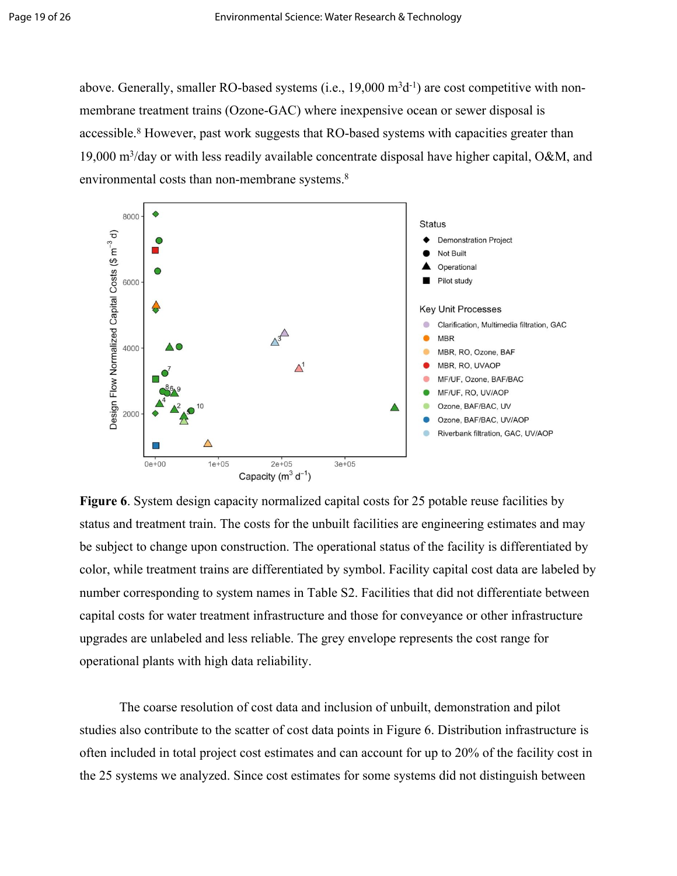above. Generally, smaller RO-based systems (i.e.,  $19,000 \text{ m}^3\text{d}^{-1}$ ) are cost competitive with nonmembrane treatment trains (Ozone-GAC) where inexpensive ocean or sewer disposal is accessible.<sup>8</sup> However, past work suggests that RO-based systems with capacities greater than 19,000 m<sup>3</sup> /day or with less readily available concentrate disposal have higher capital, O&M, and environmental costs than non-membrane systems.<sup>8</sup>



**Figure 6**. System design capacity normalized capital costs for 25 potable reuse facilities by status and treatment train. The costs for the unbuilt facilities are engineering estimates and may be subject to change upon construction. The operational status of the facility is differentiated by color, while treatment trains are differentiated by symbol. Facility capital cost data are labeled by number corresponding to system names in Table S2. Facilities that did not differentiate between capital costs for water treatment infrastructure and those for conveyance or other infrastructure upgrades are unlabeled and less reliable. The grey envelope represents the cost range for operational plants with high data reliability.

The coarse resolution of cost data and inclusion of unbuilt, demonstration and pilot studies also contribute to the scatter of cost data points in Figure 6. Distribution infrastructure is often included in total project cost estimates and can account for up to 20% of the facility cost in the 25 systems we analyzed. Since cost estimates for some systems did not distinguish between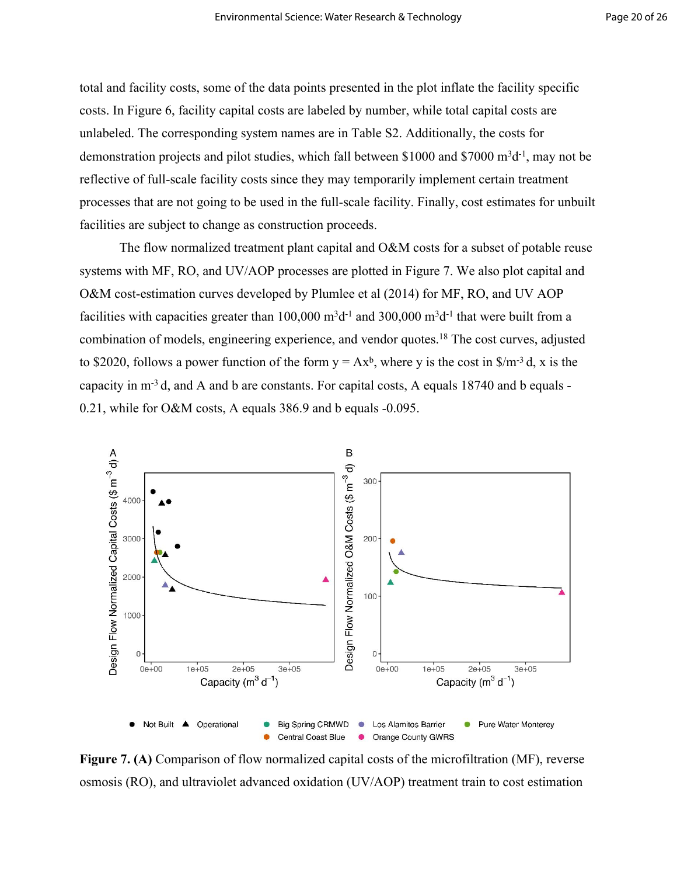total and facility costs, some of the data points presented in the plot inflate the facility specific costs. In Figure 6, facility capital costs are labeled by number, while total capital costs are unlabeled. The corresponding system names are in Table S2. Additionally, the costs for demonstration projects and pilot studies, which fall between \$1000 and \$7000 m<sup>3</sup>d<sup>-1</sup>, may not be reflective of full-scale facility costs since they may temporarily implement certain treatment processes that are not going to be used in the full-scale facility. Finally, cost estimates for unbuilt facilities are subject to change as construction proceeds.

The flow normalized treatment plant capital and O&M costs for a subset of potable reuse systems with MF, RO, and UV/AOP processes are plotted in Figure 7. We also plot capital and O&M cost-estimation curves developed by Plumlee et al (2014) for MF, RO, and UV AOP facilities with capacities greater than  $100,000 \text{ m}^3\text{d}^{-1}$  and  $300,000 \text{ m}^3\text{d}^{-1}$  that were built from a combination of models, engineering experience, and vendor quotes.[18](https://www.zotero.org/google-docs/?5uEXnB) The cost curves, adjusted to \$2020, follows a power function of the form  $y = Ax^b$ , where y is the cost in \$/m<sup>-3</sup> d, x is the capacity in m-3 d, and A and b are constants. For capital costs, A equals 18740 and b equals - 0.21, while for O&M costs, A equals 386.9 and b equals -0.095.



**Figure 7. (A)** Comparison of flow normalized capital costs of the microfiltration (MF), reverse osmosis (RO), and ultraviolet advanced oxidation (UV/AOP) treatment train to cost estimation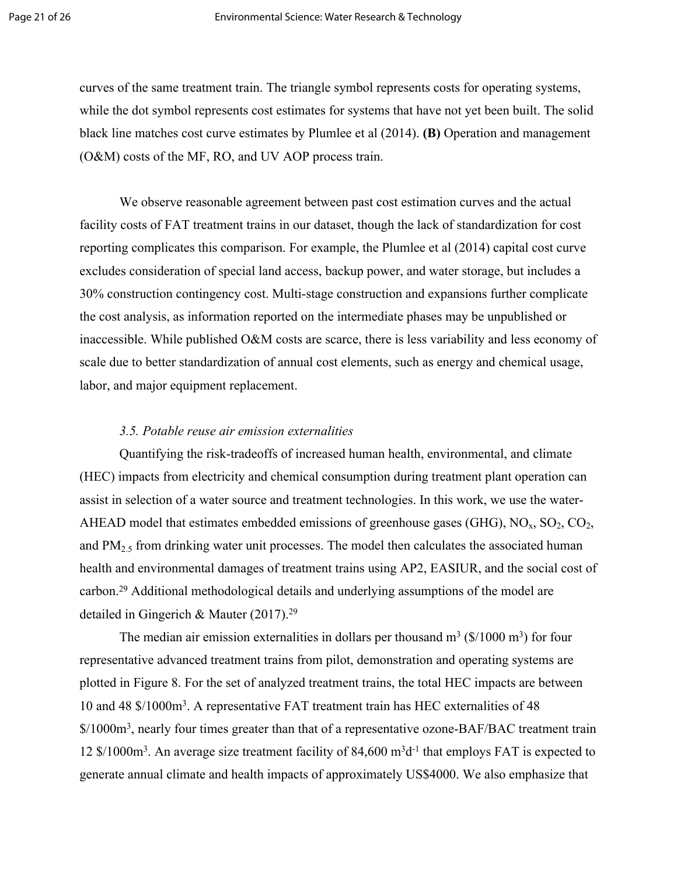curves of the same treatment train. The triangle symbol represents costs for operating systems, while the dot symbol represents cost estimates for systems that have not yet been built. The solid black line matches cost curve estimates by Plumlee et al (2014). **(B)** Operation and management (O&M) costs of the MF, RO, and UV AOP process train.

We observe reasonable agreement between past cost estimation curves and the actual facility costs of FAT treatment trains in our dataset, though the lack of standardization for cost reporting complicates this comparison. For example, the Plumlee et al (2014) capital cost curve excludes consideration of special land access, backup power, and water storage, but includes a 30% construction contingency cost. Multi-stage construction and expansions further complicate the cost analysis, as information reported on the intermediate phases may be unpublished or inaccessible. While published O&M costs are scarce, there is less variability and less economy of scale due to better standardization of annual cost elements, such as energy and chemical usage, labor, and major equipment replacement.

# *3.5. Potable reuse air emission externalities*

Quantifying the risk-tradeoffs of increased human health, environmental, and climate (HEC) impacts from electricity and chemical consumption during treatment plant operation can assist in selection of a water source and treatment technologies. In this work, we use the water-AHEAD model that estimates embedded emissions of greenhouse gases (GHG),  $NO<sub>x</sub>$ ,  $SO<sub>2</sub>$ ,  $CO<sub>2</sub>$ , and  $PM<sub>25</sub>$  from drinking water unit processes. The model then calculates the associated human health and environmental damages of treatment trains using AP2, EASIUR, and the social cost of carbon.<sup>29</sup> Additional methodological details and underlying assumptions of the model are detailed in Gingerich & Mauter (2017).<sup>29</sup>

The median air emission externalities in dollars per thousand  $m^3$  (\$/1000 m<sup>3</sup>) for four representative advanced treatment trains from pilot, demonstration and operating systems are plotted in Figure 8. For the set of analyzed treatment trains, the total HEC impacts are between 10 and 48 \$/1000m<sup>3</sup> . A representative FAT treatment train has HEC externalities of 48  $$/1000m<sup>3</sup>$ , nearly four times greater than that of a representative ozone-BAF/BAC treatment train 12  $\frac{\pi}{3}$  /1000m<sup>3</sup>. An average size treatment facility of 84,600 m<sup>3</sup>d<sup>-1</sup> that employs FAT is expected to generate annual climate and health impacts of approximately US\$4000. We also emphasize that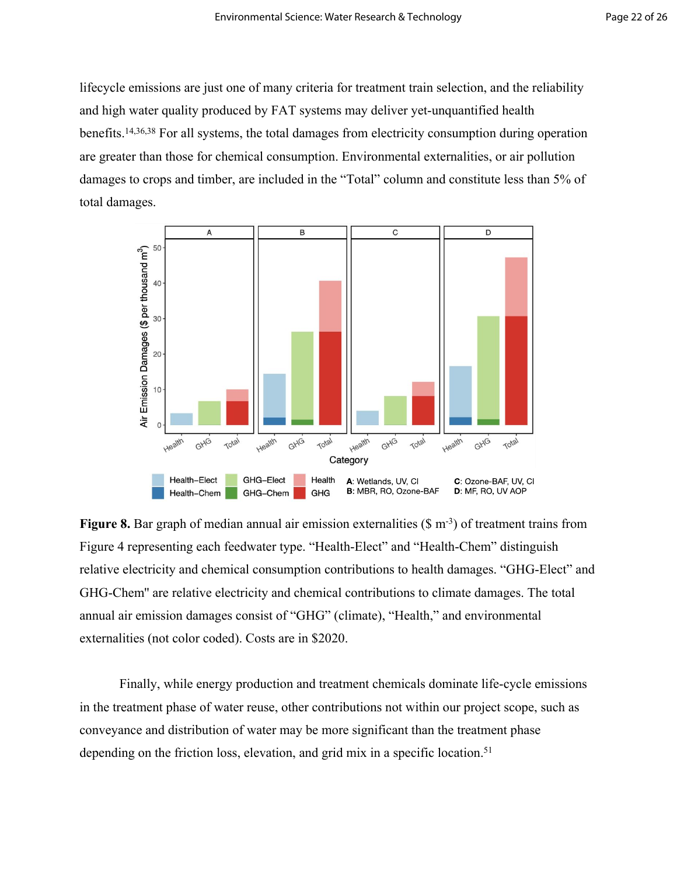lifecycle emissions are just one of many criteria for treatment train selection, and the reliability and high water quality produced by FAT systems may deliver yet-unquantified health benefits.14,36,38 For all systems, the total damages from electricity consumption during operation are greater than those for chemical consumption. Environmental externalities, or air pollution damages to crops and timber, are included in the "Total" column and constitute less than 5% of total damages.



**Figure 8.** Bar graph of median annual air emission externalities (\$ m<sup>-3</sup>) of treatment trains from Figure 4 representing each feedwater type. "Health-Elect" and "Health-Chem" distinguish relative electricity and chemical consumption contributions to health damages. "GHG-Elect" and GHG-Chem'' are relative electricity and chemical contributions to climate damages. The total annual air emission damages consist of "GHG" (climate), "Health," and environmental externalities (not color coded). Costs are in \$2020.

Finally, while energy production and treatment chemicals dominate life-cycle emissions in the treatment phase of water reuse, other contributions not within our project scope, such as conveyance and distribution of water may be more significant than the treatment phase depending on the friction loss, elevation, and grid mix in a specific location.<sup>51</sup>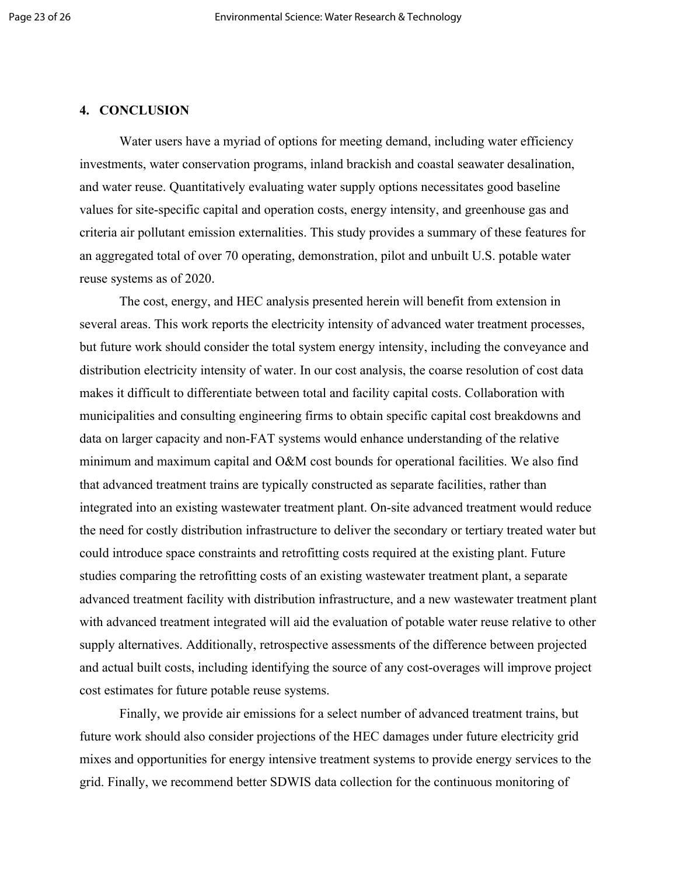# **4. CONCLUSION**

Water users have a myriad of options for meeting demand, including water efficiency investments, water conservation programs, inland brackish and coastal seawater desalination, and water reuse. Quantitatively evaluating water supply options necessitates good baseline values for site-specific capital and operation costs, energy intensity, and greenhouse gas and criteria air pollutant emission externalities. This study provides a summary of these features for an aggregated total of over 70 operating, demonstration, pilot and unbuilt U.S. potable water reuse systems as of 2020.

The cost, energy, and HEC analysis presented herein will benefit from extension in several areas. This work reports the electricity intensity of advanced water treatment processes, but future work should consider the total system energy intensity, including the conveyance and distribution electricity intensity of water. In our cost analysis, the coarse resolution of cost data makes it difficult to differentiate between total and facility capital costs. Collaboration with municipalities and consulting engineering firms to obtain specific capital cost breakdowns and data on larger capacity and non-FAT systems would enhance understanding of the relative minimum and maximum capital and O&M cost bounds for operational facilities. We also find that advanced treatment trains are typically constructed as separate facilities, rather than integrated into an existing wastewater treatment plant. On-site advanced treatment would reduce the need for costly distribution infrastructure to deliver the secondary or tertiary treated water but could introduce space constraints and retrofitting costs required at the existing plant. Future studies comparing the retrofitting costs of an existing wastewater treatment plant, a separate advanced treatment facility with distribution infrastructure, and a new wastewater treatment plant with advanced treatment integrated will aid the evaluation of potable water reuse relative to other supply alternatives. Additionally, retrospective assessments of the difference between projected and actual built costs, including identifying the source of any cost-overages will improve project cost estimates for future potable reuse systems.

Finally, we provide air emissions for a select number of advanced treatment trains, but future work should also consider projections of the HEC damages under future electricity grid mixes and opportunities for energy intensive treatment systems to provide energy services to the grid. Finally, we recommend better SDWIS data collection for the continuous monitoring of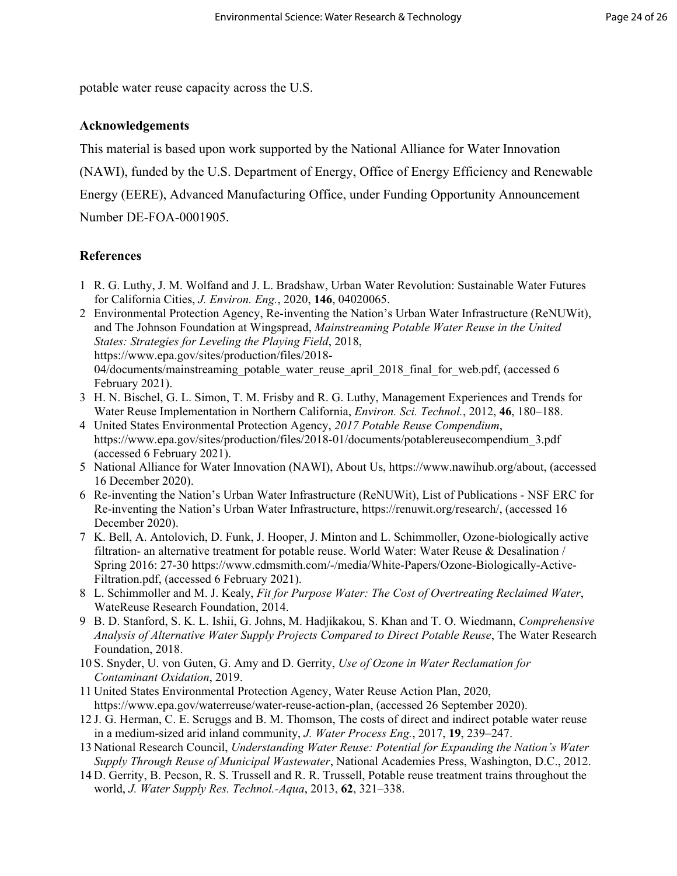potable water reuse capacity across the U.S.

# **Acknowledgements**

This material is based upon work supported by the National Alliance for Water Innovation

(NAWI), funded by the U.S. Department of Energy, Office of Energy Efficiency and Renewable

Energy (EERE), Advanced Manufacturing Office, under Funding Opportunity Announcement Number DE-FOA-0001905.

# **References**

- 1 R. G. Luthy, J. M. Wolfand and J. L. Bradshaw, Urban Water Revolution: Sustainable Water Futures for California Cities, *J. Environ. Eng.*, 2020, **146**, 04020065.
- 2 Environmental Protection Agency, Re-inventing the Nation's Urban Water Infrastructure (ReNUWit), and The Johnson Foundation at Wingspread, *Mainstreaming Potable Water Reuse in the United States: Strategies for Leveling the Playing Field*, 2018, https://www.epa.gov/sites/production/files/2018- 04/documents/mainstreaming\_potable\_water\_reuse\_april\_2018\_final\_for\_web.pdf, (accessed 6 February 2021).
- 3 H. N. Bischel, G. L. Simon, T. M. Frisby and R. G. Luthy, Management Experiences and Trends for Water Reuse Implementation in Northern California, *Environ. Sci. Technol.*, 2012, **46**, 180–188.
- 4 United States Environmental Protection Agency, *2017 Potable Reuse Compendium*, https://www.epa.gov/sites/production/files/2018-01/documents/potablereusecompendium\_3.pdf (accessed 6 February 2021).
- 5 National Alliance for Water Innovation (NAWI), About Us, https://www.nawihub.org/about, (accessed 16 December 2020).
- 6 Re-inventing the Nation's Urban Water Infrastructure (ReNUWit), List of Publications NSF ERC for Re-inventing the Nation's Urban Water Infrastructure, https://renuwit.org/research/, (accessed 16 December 2020).
- 7 K. Bell, A. Antolovich, D. Funk, J. Hooper, J. Minton and L. Schimmoller, Ozone-biologically active filtration- an alternative treatment for potable reuse. World Water: Water Reuse & Desalination / Spring 2016: 27-30 https://www.cdmsmith.com/-/media/White-Papers/Ozone-Biologically-Active-Filtration.pdf, (accessed 6 February 2021).
- 8 L. Schimmoller and M. J. Kealy, *Fit for Purpose Water: The Cost of Overtreating Reclaimed Water*, WateReuse Research Foundation, 2014.
- 9 B. D. Stanford, S. K. L. Ishii, G. Johns, M. Hadjikakou, S. Khan and T. O. Wiedmann, *Comprehensive Analysis of Alternative Water Supply Projects Compared to Direct Potable Reuse*, The Water Research Foundation, 2018.
- 10 S. Snyder, U. von Guten, G. Amy and D. Gerrity, *Use of Ozone in Water Reclamation for Contaminant Oxidation*, 2019.
- 11 United States Environmental Protection Agency, Water Reuse Action Plan, 2020, https://www.epa.gov/waterreuse/water-reuse-action-plan, (accessed 26 September 2020).
- 12 J. G. Herman, C. E. Scruggs and B. M. Thomson, The costs of direct and indirect potable water reuse in a medium-sized arid inland community, *J. Water Process Eng.*, 2017, **19**, 239–247.
- 13 National Research Council, *Understanding Water Reuse: Potential for Expanding the Nation's Water Supply Through Reuse of Municipal Wastewater*, National Academies Press, Washington, D.C., 2012.
- 14 D. Gerrity, B. Pecson, R. S. Trussell and R. R. Trussell, Potable reuse treatment trains throughout the world, *J. Water Supply Res. Technol.-Aqua*, 2013, **62**, 321–338.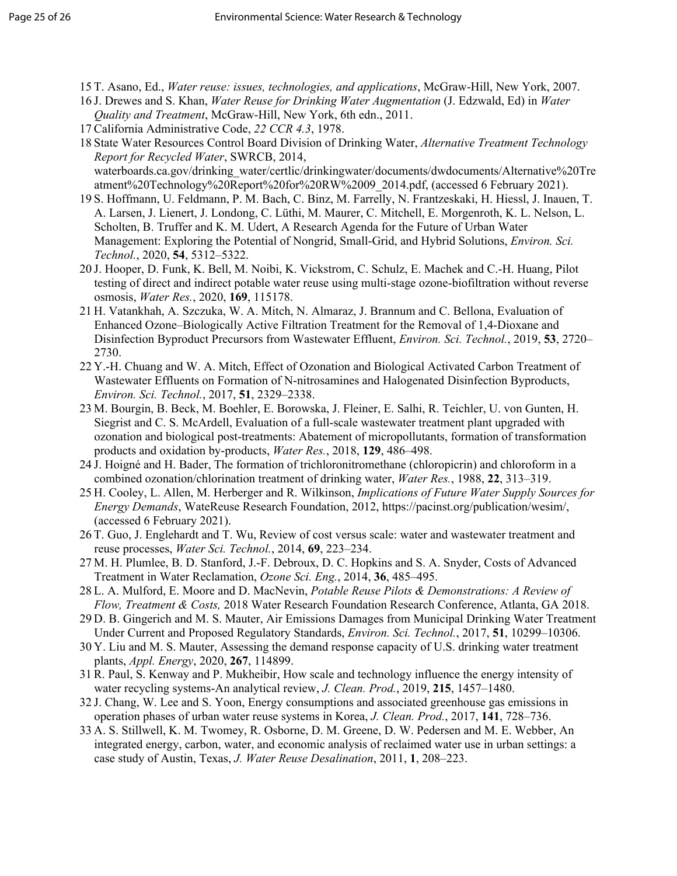- 15 T. Asano, Ed., *Water reuse: issues, technologies, and applications*, McGraw-Hill, New York, 2007.
- 16 J. Drewes and S. Khan, *Water Reuse for Drinking Water Augmentation* (J. Edzwald, Ed) in *Water Quality and Treatment*, McGraw-Hill, New York, 6th edn., 2011.
- 17 California Administrative Code, *22 CCR 4.3*, 1978.
- 18 State Water Resources Control Board Division of Drinking Water, *Alternative Treatment Technology Report for Recycled Water*, SWRCB, 2014, waterboards.ca.gov/drinking\_water/certlic/drinkingwater/documents/dwdocuments/Alternative%20Tre atment%20Technology%20Report%20for%20RW%2009\_2014.pdf, (accessed 6 February 2021).
- 19 S. Hoffmann, U. Feldmann, P. M. Bach, C. Binz, M. Farrelly, N. Frantzeskaki, H. Hiessl, J. Inauen, T. A. Larsen, J. Lienert, J. Londong, C. Lüthi, M. Maurer, C. Mitchell, E. Morgenroth, K. L. Nelson, L. Scholten, B. Truffer and K. M. Udert, A Research Agenda for the Future of Urban Water Management: Exploring the Potential of Nongrid, Small-Grid, and Hybrid Solutions, *Environ. Sci. Technol.*, 2020, **54**, 5312–5322.
- 20 J. Hooper, D. Funk, K. Bell, M. Noibi, K. Vickstrom, C. Schulz, E. Machek and C.-H. Huang, Pilot testing of direct and indirect potable water reuse using multi-stage ozone-biofiltration without reverse osmosis, *Water Res.*, 2020, **169**, 115178.
- 21 H. Vatankhah, A. Szczuka, W. A. Mitch, N. Almaraz, J. Brannum and C. Bellona, Evaluation of Enhanced Ozone–Biologically Active Filtration Treatment for the Removal of 1,4-Dioxane and Disinfection Byproduct Precursors from Wastewater Effluent, *Environ. Sci. Technol.*, 2019, **53**, 2720– 2730.
- 22 Y.-H. Chuang and W. A. Mitch, Effect of Ozonation and Biological Activated Carbon Treatment of Wastewater Effluents on Formation of N-nitrosamines and Halogenated Disinfection Byproducts, *Environ. Sci. Technol.*, 2017, **51**, 2329–2338.
- 23 M. Bourgin, B. Beck, M. Boehler, E. Borowska, J. Fleiner, E. Salhi, R. Teichler, U. von Gunten, H. Siegrist and C. S. McArdell, Evaluation of a full-scale wastewater treatment plant upgraded with ozonation and biological post-treatments: Abatement of micropollutants, formation of transformation products and oxidation by-products, *Water Res.*, 2018, **129**, 486–498.
- 24 J. Hoigné and H. Bader, The formation of trichloronitromethane (chloropicrin) and chloroform in a combined ozonation/chlorination treatment of drinking water, *Water Res.*, 1988, **22**, 313–319.
- 25 H. Cooley, L. Allen, M. Herberger and R. Wilkinson, *Implications of Future Water Supply Sources for Energy Demands*, WateReuse Research Foundation, 2012, https://pacinst.org/publication/wesim/, (accessed 6 February 2021).
- 26 T. Guo, J. Englehardt and T. Wu, Review of cost versus scale: water and wastewater treatment and reuse processes, *Water Sci. Technol.*, 2014, **69**, 223–234.
- 27 M. H. Plumlee, B. D. Stanford, J.-F. Debroux, D. C. Hopkins and S. A. Snyder, Costs of Advanced Treatment in Water Reclamation, *Ozone Sci. Eng.*, 2014, **36**, 485–495.
- 28 L. A. Mulford, E. Moore and D. MacNevin, *Potable Reuse Pilots & Demonstrations: A Review of Flow, Treatment & Costs,* 2018 Water Research Foundation Research Conference, Atlanta, GA 2018.
- 29 D. B. Gingerich and M. S. Mauter, Air Emissions Damages from Municipal Drinking Water Treatment Under Current and Proposed Regulatory Standards, *Environ. Sci. Technol.*, 2017, **51**, 10299–10306.
- 30 Y. Liu and M. S. Mauter, Assessing the demand response capacity of U.S. drinking water treatment plants, *Appl. Energy*, 2020, **267**, 114899.
- 31 R. Paul, S. Kenway and P. Mukheibir, How scale and technology influence the energy intensity of water recycling systems-An analytical review, *J. Clean. Prod.*, 2019, **215**, 1457–1480.
- 32 J. Chang, W. Lee and S. Yoon, Energy consumptions and associated greenhouse gas emissions in operation phases of urban water reuse systems in Korea, *J. Clean. Prod.*, 2017, **141**, 728–736.
- 33 A. S. Stillwell, K. M. Twomey, R. Osborne, D. M. Greene, D. W. Pedersen and M. E. Webber, An integrated energy, carbon, water, and economic analysis of reclaimed water use in urban settings: a case study of Austin, Texas, *J. Water Reuse Desalination*, 2011, **1**, 208–223.